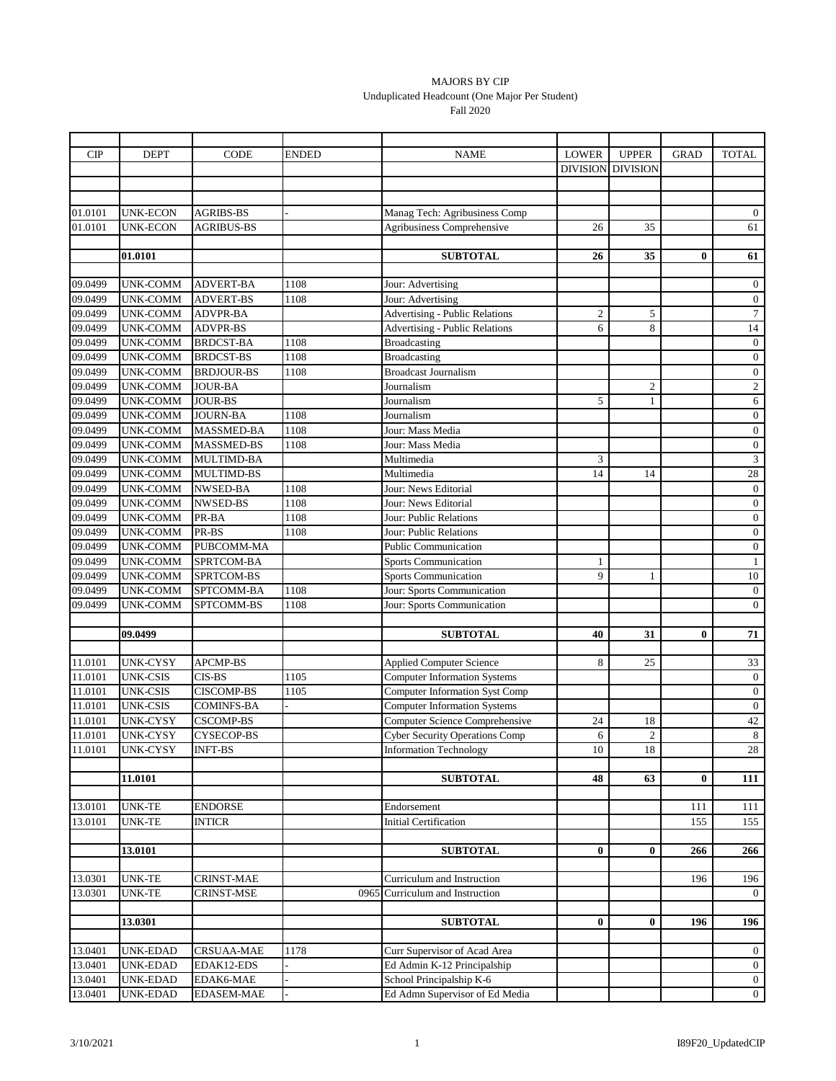## MAJORS BY CIP Unduplicated Headcount (One Major Per Student) Fall 2020

| CIP                | <b>DEPT</b>                        | CODE                                 | ENDED | <b>NAME</b>                                                                    | <b>LOWER</b>    | <b>UPPER</b>     | <b>GRAD</b> | <b>TOTAL</b>                         |
|--------------------|------------------------------------|--------------------------------------|-------|--------------------------------------------------------------------------------|-----------------|------------------|-------------|--------------------------------------|
|                    |                                    |                                      |       |                                                                                | <b>DIVISION</b> | <b>DIVISION</b>  |             |                                      |
|                    |                                    |                                      |       |                                                                                |                 |                  |             |                                      |
|                    |                                    |                                      |       |                                                                                |                 |                  |             |                                      |
| 01.0101            | <b>UNK-ECON</b>                    | <b>AGRIBS-BS</b>                     |       | Manag Tech: Agribusiness Comp                                                  |                 |                  |             | $\overline{0}$                       |
| 01.0101            | UNK-ECON                           | <b>AGRIBUS-BS</b>                    |       | Agribusiness Comprehensive                                                     | 26              | 35               |             | 61                                   |
|                    |                                    |                                      |       |                                                                                |                 |                  |             |                                      |
|                    | 01.0101                            |                                      |       | <b>SUBTOTAL</b>                                                                | 26              | 35               | $\bf{0}$    | 61                                   |
|                    |                                    |                                      |       |                                                                                |                 |                  |             |                                      |
| 09.0499<br>09.0499 | <b>UNK-COMM</b><br><b>UNK-COMM</b> | <b>ADVERT-BA</b><br><b>ADVERT-BS</b> | 1108  | Jour: Advertising<br>Jour: Advertising                                         |                 |                  |             | $\boldsymbol{0}$<br>$\boldsymbol{0}$ |
| 09.0499            | <b>UNK-COMM</b>                    | <b>ADVPR-BA</b>                      | 1108  |                                                                                | $\mathbf{2}$    | 5                |             | $\boldsymbol{7}$                     |
| 09.0499            | <b>UNK-COMM</b>                    | <b>ADVPR-BS</b>                      |       | <b>Advertising - Public Relations</b><br><b>Advertising - Public Relations</b> | 6               | 8                |             | 14                                   |
| 09.0499            | <b>UNK-COMM</b>                    | <b>BRDCST-BA</b>                     | 1108  | <b>Broadcasting</b>                                                            |                 |                  |             | $\boldsymbol{0}$                     |
| 09.0499            | <b>UNK-COMM</b>                    | <b>BRDCST-BS</b>                     | 1108  | <b>Broadcasting</b>                                                            |                 |                  |             | $\mathbf{0}$                         |
| 09.0499            | UNK-COMM                           | <b>BRDJOUR-BS</b>                    | 1108  | <b>Broadcast Journalism</b>                                                    |                 |                  |             | $\boldsymbol{0}$                     |
| 09.0499            | <b>UNK-COMM</b>                    | <b>JOUR-BA</b>                       |       | Journalism                                                                     |                 | $\boldsymbol{2}$ |             | $\overline{c}$                       |
| 09.0499            | <b>UNK-COMM</b>                    | <b>JOUR-BS</b>                       |       | Journalism                                                                     | 5               | 1                |             | 6                                    |
| 09.0499            | <b>UNK-COMM</b>                    | <b>JOURN-BA</b>                      | 1108  | Journalism                                                                     |                 |                  |             | $\boldsymbol{0}$                     |
| 09.0499            | <b>UNK-COMM</b>                    | <b>MASSMED-BA</b>                    | 1108  | Jour: Mass Media                                                               |                 |                  |             | $\boldsymbol{0}$                     |
| 09.0499            | <b>UNK-COMM</b>                    | <b>MASSMED-BS</b>                    | 1108  | Jour: Mass Media                                                               |                 |                  |             | $\boldsymbol{0}$                     |
| 09.0499            | <b>UNK-COMM</b>                    | <b>MULTIMD-BA</b>                    |       | Multimedia                                                                     | 3               |                  |             | $\overline{3}$                       |
| 09.0499            | <b>UNK-COMM</b>                    | <b>MULTIMD-BS</b>                    |       | Multimedia                                                                     | 14              | 14               |             | $\overline{28}$                      |
| 09.0499            | <b>UNK-COMM</b>                    | <b>NWSED-BA</b>                      | 1108  | Jour: News Editorial                                                           |                 |                  |             | $\boldsymbol{0}$                     |
| 09.0499            | <b>UNK-COMM</b>                    | <b>NWSED-BS</b>                      | 1108  | Jour: News Editorial                                                           |                 |                  |             | $\overline{0}$                       |
| 09.0499            | <b>UNK-COMM</b>                    | PR-BA                                | 1108  | Jour: Public Relations                                                         |                 |                  |             | $\boldsymbol{0}$                     |
| 09.0499            | UNK-COMM                           | PR-BS                                | 1108  | Jour: Public Relations                                                         |                 |                  |             | $\boldsymbol{0}$                     |
| 09.0499            | <b>UNK-COMM</b>                    | PUBCOMM-MA                           |       | <b>Public Communication</b>                                                    |                 |                  |             | $\boldsymbol{0}$                     |
| 09.0499            | <b>UNK-COMM</b>                    | SPRTCOM-BA                           |       | <b>Sports Communication</b>                                                    | $\mathbf{1}$    |                  |             | $\mathbf{1}$                         |
| 09.0499            | <b>UNK-COMM</b>                    | SPRTCOM-BS                           |       | <b>Sports Communication</b>                                                    | $\mathbf{Q}$    | 1                |             | $10\,$                               |
| 09.0499            | <b>UNK-COMM</b>                    | SPTCOMM-BA                           | 1108  | Jour: Sports Communication                                                     |                 |                  |             | $\boldsymbol{0}$                     |
| 09.0499            | UNK-COMM                           | SPTCOMM-BS                           | 1108  | Jour: Sports Communication                                                     |                 |                  |             | $\mathbf{0}$                         |
|                    |                                    |                                      |       |                                                                                |                 |                  |             |                                      |
|                    | 09.0499                            |                                      |       | <b>SUBTOTAL</b>                                                                | 40              | 31               | $\bf{0}$    | 71                                   |
|                    | <b>UNK-CYSY</b>                    |                                      |       |                                                                                | 8               |                  |             |                                      |
| 11.0101<br>11.0101 | <b>UNK-CSIS</b>                    | <b>APCMP-BS</b><br>CIS-BS            | 1105  | <b>Applied Computer Science</b>                                                |                 | 25               |             | 33                                   |
| 11.0101            | <b>UNK-CSIS</b>                    | <b>CISCOMP-BS</b>                    | 1105  | <b>Computer Information Systems</b><br><b>Computer Information Syst Comp</b>   |                 |                  |             | $\boldsymbol{0}$<br>$\boldsymbol{0}$ |
| 11.0101            | <b>UNK-CSIS</b>                    | <b>COMINFS-BA</b>                    |       | <b>Computer Information Systems</b>                                            |                 |                  |             | $\boldsymbol{0}$                     |
| 11.0101            | <b>UNK-CYSY</b>                    | <b>CSCOMP-BS</b>                     |       | Computer Science Comprehensive                                                 | 24              | 18               |             | 42                                   |
| 11.0101            | <b>UNK-CYSY</b>                    | <b>CYSECOP-BS</b>                    |       | <b>Cyber Security Operations Comp</b>                                          | 6               | 2                |             | 8                                    |
| 11.0101            | <b>UNK-CYSY</b>                    | <b>INFT-BS</b>                       |       | <b>Information Technology</b>                                                  | 10              | 18               |             | 28                                   |
|                    |                                    |                                      |       |                                                                                |                 |                  |             |                                      |
|                    | 11.0101                            |                                      |       | <b>SUBTOTAL</b>                                                                | 48              | 63               | $\bf{0}$    | 111                                  |
|                    |                                    |                                      |       |                                                                                |                 |                  |             |                                      |
| 13.0101            | <b>UNK-TE</b>                      | <b>ENDORSE</b>                       |       | Endorsement                                                                    |                 |                  | 111         | 111                                  |
| 13.0101            | <b>UNK-TE</b>                      | <b>INTICR</b>                        |       | <b>Initial Certification</b>                                                   |                 |                  | 155         | 155                                  |
|                    |                                    |                                      |       |                                                                                |                 |                  |             |                                      |
|                    | 13.0101                            |                                      |       | <b>SUBTOTAL</b>                                                                | $\bf{0}$        | $\bf{0}$         | 266         | 266                                  |
|                    |                                    |                                      |       |                                                                                |                 |                  |             |                                      |
| 13.0301            | <b>UNK-TE</b>                      | <b>CRINST-MAE</b>                    |       | Curriculum and Instruction                                                     |                 |                  | 196         | 196                                  |
| 13.0301            | <b>UNK-TE</b>                      | CRINST-MSE                           | 0965  | Curriculum and Instruction                                                     |                 |                  |             | $\overline{0}$                       |
|                    |                                    |                                      |       |                                                                                |                 |                  |             |                                      |
|                    | 13.0301                            |                                      |       | <b>SUBTOTAL</b>                                                                | $\bf{0}$        | $\bf{0}$         | 196         | 196                                  |
| 13.0401            | <b>UNK-EDAD</b>                    | <b>CRSUAA-MAE</b>                    | 1178  | Curr Supervisor of Acad Area                                                   |                 |                  |             | $\overline{0}$                       |
| 13.0401            | <b>UNK-EDAD</b>                    | EDAK12-EDS                           |       | Ed Admin K-12 Principalship                                                    |                 |                  |             | $\overline{0}$                       |
| 13.0401            | <b>UNK-EDAD</b>                    | EDAK6-MAE                            |       | School Principalship K-6                                                       |                 |                  |             | $\mathbf{0}$                         |
| 13.0401            | UNK-EDAD                           | EDASEM-MAE                           |       | Ed Admn Supervisor of Ed Media                                                 |                 |                  |             | $\mathbf{0}$                         |
|                    |                                    |                                      |       |                                                                                |                 |                  |             |                                      |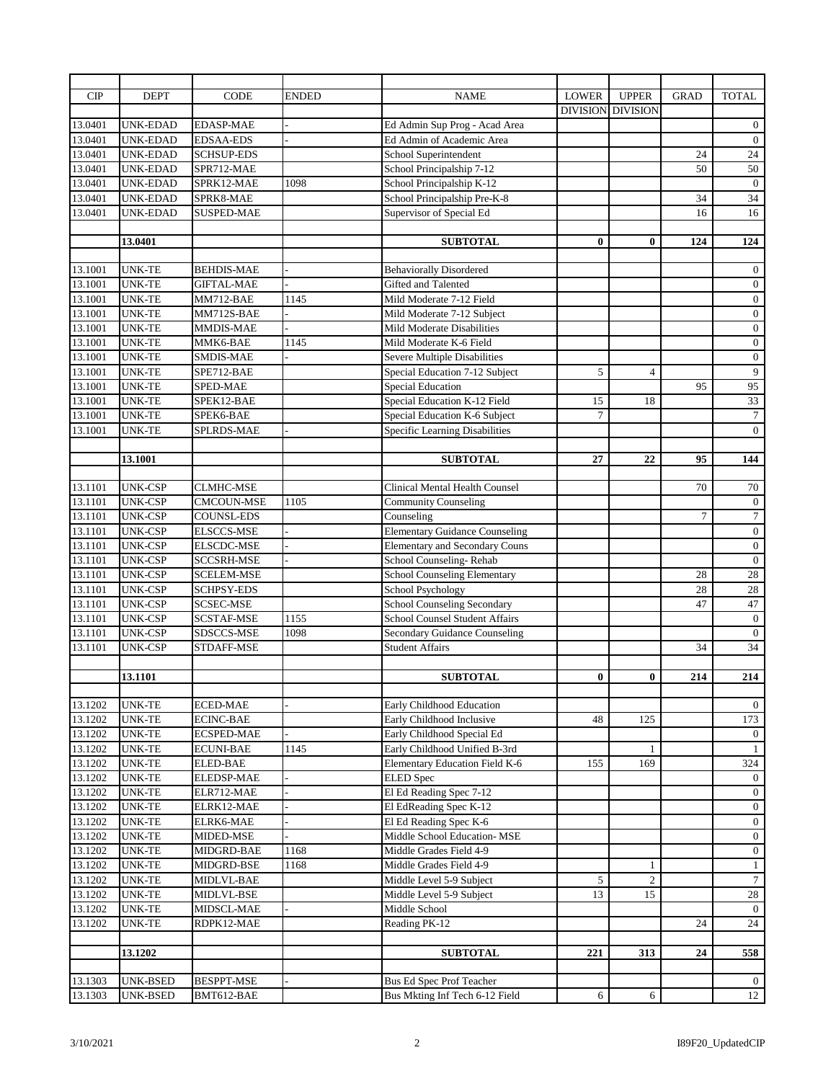| CIP     | <b>DEPT</b>     | CODE              | ENDED | <b>NAME</b>                           | <b>LOWER</b>    | <b>UPPER</b>    | <b>GRAD</b> | <b>TOTAL</b>     |
|---------|-----------------|-------------------|-------|---------------------------------------|-----------------|-----------------|-------------|------------------|
|         |                 |                   |       |                                       | <b>DIVISION</b> | <b>DIVISION</b> |             |                  |
| 13.0401 | <b>UNK-EDAD</b> | <b>EDASP-MAE</b>  |       | Ed Admin Sup Prog - Acad Area         |                 |                 |             | $\boldsymbol{0}$ |
| 13.0401 | UNK-EDAD        | <b>EDSAA-EDS</b>  |       | Ed Admin of Academic Area             |                 |                 |             | $\boldsymbol{0}$ |
| 13.0401 | <b>UNK-EDAD</b> | <b>SCHSUP-EDS</b> |       | School Superintendent                 |                 |                 | 24          | 24               |
| 13.0401 | UNK-EDAD        | SPR712-MAE        |       | School Principalship 7-12             |                 |                 | 50          | 50               |
| 13.0401 | <b>UNK-EDAD</b> | SPRK12-MAE        | 1098  | School Principalship K-12             |                 |                 |             | $\overline{0}$   |
| 13.0401 | <b>UNK-EDAD</b> | SPRK8-MAE         |       | School Principalship Pre-K-8          |                 |                 | 34          | 34               |
| 13.0401 | <b>UNK-EDAD</b> | <b>SUSPED-MAE</b> |       | Supervisor of Special Ed              |                 |                 | 16          | 16               |
|         |                 |                   |       |                                       |                 |                 |             |                  |
|         | 13.0401         |                   |       | <b>SUBTOTAL</b>                       | 0               | $\bf{0}$        | 124         | 124              |
|         |                 |                   |       |                                       |                 |                 |             |                  |
| 13.1001 | <b>UNK-TE</b>   | <b>BEHDIS-MAE</b> |       | <b>Behaviorally Disordered</b>        |                 |                 |             | $\mathbf{0}$     |
| 13.1001 | <b>UNK-TE</b>   | <b>GIFTAL-MAE</b> |       | Gifted and Talented                   |                 |                 |             | $\mathbf{0}$     |
| 13.1001 | <b>UNK-TE</b>   | MM712-BAE         | 1145  | Mild Moderate 7-12 Field              |                 |                 |             | $\boldsymbol{0}$ |
| 13.1001 | <b>UNK-TE</b>   | MM712S-BAE        |       | Mild Moderate 7-12 Subject            |                 |                 |             | $\boldsymbol{0}$ |
| 13.1001 | <b>UNK-TE</b>   | <b>MMDIS-MAE</b>  |       | Mild Moderate Disabilities            |                 |                 |             | $\boldsymbol{0}$ |
| 13.1001 | <b>UNK-TE</b>   | MMK6-BAE          | 1145  | Mild Moderate K-6 Field               |                 |                 |             | $\overline{0}$   |
| 13.1001 | <b>UNK-TE</b>   | <b>SMDIS-MAE</b>  |       | <b>Severe Multiple Disabilities</b>   |                 |                 |             | $\boldsymbol{0}$ |
| 13.1001 | <b>UNK-TE</b>   | SPE712-BAE        |       | Special Education 7-12 Subject        | 5               | $\overline{4}$  |             | 9                |
| 13.1001 | <b>UNK-TE</b>   | SPED-MAE          |       | <b>Special Education</b>              |                 |                 | 95          | 95               |
| 13.1001 | <b>UNK-TE</b>   | SPEK12-BAE        |       | Special Education K-12 Field          | 15              | 18              |             | 33               |
| 13.1001 | <b>UNK-TE</b>   | SPEK6-BAE         |       | Special Education K-6 Subject         | $\overline{7}$  |                 |             | $7\phantom{.0}$  |
| 13.1001 | UNK-TE          | <b>SPLRDS-MAE</b> |       | Specific Learning Disabilities        |                 |                 |             | $\mathbf{0}$     |
|         |                 |                   |       |                                       |                 |                 |             |                  |
|         | 13.1001         |                   |       | <b>SUBTOTAL</b>                       | 27              | 22              | 95          | 144              |
|         |                 |                   |       |                                       |                 |                 |             |                  |
| 13.1101 | <b>UNK-CSP</b>  | <b>CLMHC-MSE</b>  |       | Clinical Mental Health Counsel        |                 |                 | 70          | 70               |
| 13.1101 | <b>UNK-CSP</b>  | CMCOUN-MSE        | 1105  | <b>Community Counseling</b>           |                 |                 |             | $\boldsymbol{0}$ |
| 13.1101 | <b>UNK-CSP</b>  | <b>COUNSL-EDS</b> |       | Counseling                            |                 |                 | $\tau$      | $\overline{7}$   |
| 13.1101 | <b>UNK-CSP</b>  | <b>ELSCCS-MSE</b> |       | <b>Elementary Guidance Counseling</b> |                 |                 |             | $\overline{0}$   |
| 13.1101 | <b>UNK-CSP</b>  | <b>ELSCDC-MSE</b> |       | <b>Elementary and Secondary Couns</b> |                 |                 |             | $\boldsymbol{0}$ |
| 13.1101 | <b>UNK-CSP</b>  | <b>SCCSRH-MSE</b> |       | School Counseling-Rehab               |                 |                 |             | $\mathbf{0}$     |
| 13.1101 | <b>UNK-CSP</b>  | SCELEM-MSE        |       | <b>School Counseling Elementary</b>   |                 |                 | 28          | $28\,$           |
| 13.1101 | <b>UNK-CSP</b>  | <b>SCHPSY-EDS</b> |       | School Psychology                     |                 |                 | 28          | $28\,$           |
| 13.1101 | <b>UNK-CSP</b>  | <b>SCSEC-MSE</b>  |       | School Counseling Secondary           |                 |                 | 47          | 47               |
| 13.1101 | <b>UNK-CSP</b>  | <b>SCSTAF-MSE</b> | 1155  | <b>School Counsel Student Affairs</b> |                 |                 |             | $\boldsymbol{0}$ |
| 13.1101 | <b>UNK-CSP</b>  | SDSCCS-MSE        | 1098  | <b>Secondary Guidance Counseling</b>  |                 |                 |             | $\mathbf{0}$     |
| 13.1101 | UNK-CSP         | STDAFF-MSE        |       | <b>Student Affairs</b>                |                 |                 | 34          | $\overline{34}$  |
|         |                 |                   |       |                                       |                 |                 |             |                  |
|         | 13.1101         |                   |       | <b>SUBTOTAL</b>                       | 0               | $\bf{0}$        | 214         | 214              |
|         |                 |                   |       |                                       |                 |                 |             |                  |
| 13.1202 | <b>UNK-TE</b>   | <b>ECED-MAE</b>   |       | Early Childhood Education             |                 |                 |             | $\overline{0}$   |
| 13.1202 | <b>UNK-TE</b>   | <b>ECINC-BAE</b>  |       | Early Childhood Inclusive             | 48              | 125             |             | 173              |
| 13.1202 | UNK-TE          | <b>ECSPED-MAE</b> |       | Early Childhood Special Ed            |                 |                 |             | $\overline{0}$   |
| 13.1202 | <b>UNK-TE</b>   | <b>ECUNI-BAE</b>  | 1145  | Early Childhood Unified B-3rd         |                 | 1               |             | $\mathbf{1}$     |
| 13.1202 | UNK-TE          | <b>ELED-BAE</b>   |       | Elementary Education Field K-6        | 155             | 169             |             | 324              |
| 13.1202 | UNK-TE          | ELEDSP-MAE        |       | <b>ELED</b> Spec                      |                 |                 |             | $\overline{0}$   |
| 13.1202 | UNK-TE          | ELR712-MAE        |       | El Ed Reading Spec 7-12               |                 |                 |             | $\overline{0}$   |
| 13.1202 | <b>UNK-TE</b>   | ELRK12-MAE        |       | El EdReading Spec K-12                |                 |                 |             | $\overline{0}$   |
| 13.1202 | UNK-TE          | ELRK6-MAE         |       | El Ed Reading Spec K-6                |                 |                 |             | $\overline{0}$   |
| 13.1202 | UNK-TE          | MIDED-MSE         |       | Middle School Education-MSE           |                 |                 |             | $\boldsymbol{0}$ |
| 13.1202 | UNK-TE          | MIDGRD-BAE        | 1168  | Middle Grades Field 4-9               |                 |                 |             | $\mathbf{0}$     |
| 13.1202 | UNK-TE          | MIDGRD-BSE        | 1168  | Middle Grades Field 4-9               |                 | 1               |             | $\mathbf{1}$     |
| 13.1202 | <b>UNK-TE</b>   | MIDLVL-BAE        |       | Middle Level 5-9 Subject              | 5               | $\overline{2}$  |             | $7\phantom{.0}$  |
| 13.1202 | UNK-TE          | MIDLVL-BSE        |       | Middle Level 5-9 Subject              | 13              | 15              |             | 28               |
| 13.1202 | UNK-TE          | MIDSCL-MAE        |       | Middle School                         |                 |                 |             | $\overline{0}$   |
| 13.1202 | UNK-TE          | RDPK12-MAE        |       | Reading PK-12                         |                 |                 | 24          | 24               |
|         |                 |                   |       |                                       |                 |                 |             |                  |
|         | 13.1202         |                   |       | <b>SUBTOTAL</b>                       | 221             | 313             | 24          | 558              |
|         |                 |                   |       |                                       |                 |                 |             |                  |
| 13.1303 | UNK-BSED        | <b>BESPPT-MSE</b> |       | <b>Bus Ed Spec Prof Teacher</b>       |                 |                 |             | $\mathbf{0}$     |
| 13.1303 | UNK-BSED        | BMT612-BAE        |       | Bus Mkting Inf Tech 6-12 Field        | 6               | 6               |             | 12               |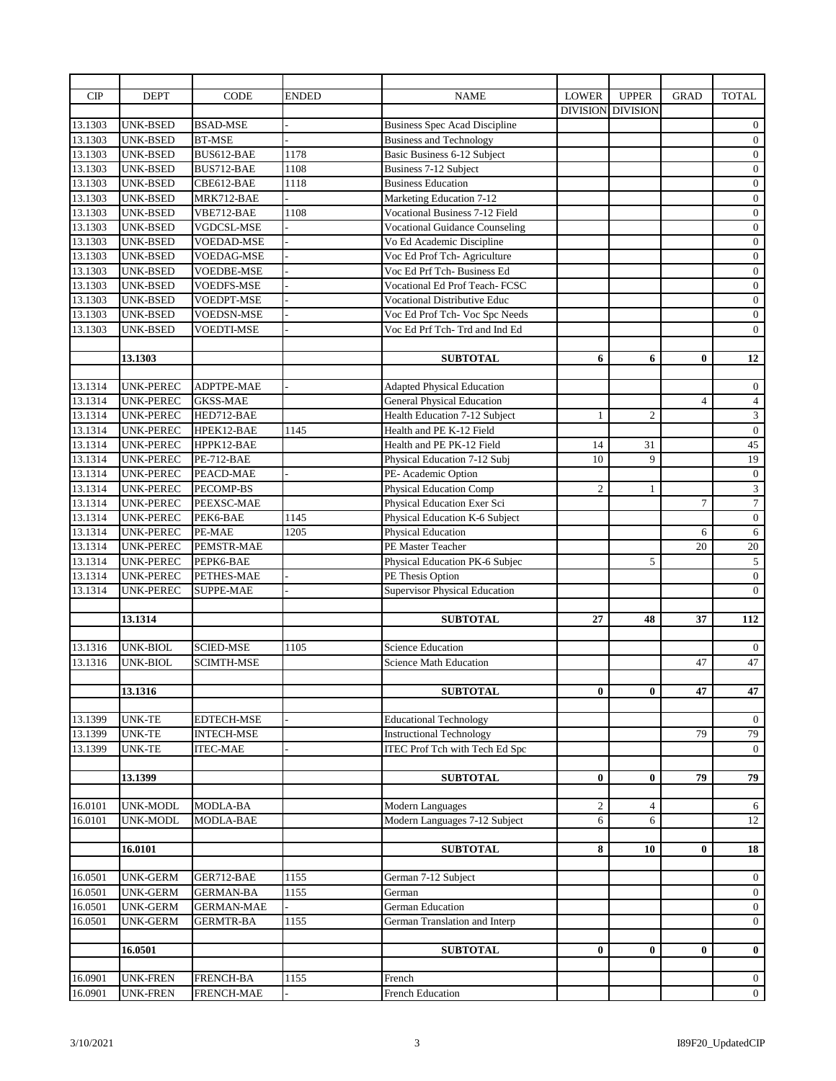| CIP     | <b>DEPT</b>      | <b>CODE</b>       | <b>ENDED</b> | <b>NAME</b>                           | <b>LOWER</b>    | <b>UPPER</b>    | <b>GRAD</b>    | <b>TOTAL</b>     |
|---------|------------------|-------------------|--------------|---------------------------------------|-----------------|-----------------|----------------|------------------|
|         |                  |                   |              |                                       | <b>DIVISION</b> | <b>DIVISION</b> |                |                  |
| 13.1303 | <b>UNK-BSED</b>  | <b>BSAD-MSE</b>   |              | <b>Business Spec Acad Discipline</b>  |                 |                 |                | $\mathbf{0}$     |
| 13.1303 | <b>UNK-BSED</b>  | <b>BT-MSE</b>     |              | <b>Business and Technology</b>        |                 |                 |                | $\boldsymbol{0}$ |
| 13.1303 | <b>UNK-BSED</b>  | BUS612-BAE        | 1178         | Basic Business 6-12 Subject           |                 |                 |                | $\boldsymbol{0}$ |
| 13.1303 | <b>UNK-BSED</b>  | BUS712-BAE        | 1108         | <b>Business 7-12 Subject</b>          |                 |                 |                | $\boldsymbol{0}$ |
| 13.1303 | <b>UNK-BSED</b>  | CBE612-BAE        | 1118         | <b>Business Education</b>             |                 |                 |                | $\mathbf{0}$     |
| 13.1303 | <b>UNK-BSED</b>  | MRK712-BAE        |              | Marketing Education 7-12              |                 |                 |                | $\mathbf{0}$     |
| 13.1303 | <b>UNK-BSED</b>  | VBE712-BAE        | 1108         | Vocational Business 7-12 Field        |                 |                 |                | $\boldsymbol{0}$ |
| 13.1303 | <b>UNK-BSED</b>  | <b>VGDCSL-MSE</b> |              | <b>Vocational Guidance Counseling</b> |                 |                 |                | $\boldsymbol{0}$ |
| 13.1303 | <b>UNK-BSED</b>  | <b>VOEDAD-MSE</b> |              | Vo Ed Academic Discipline             |                 |                 |                | $\boldsymbol{0}$ |
| 13.1303 | <b>UNK-BSED</b>  | <b>VOEDAG-MSE</b> |              | Voc Ed Prof Tch-Agriculture           |                 |                 |                | $\mathbf{0}$     |
| 13.1303 | UNK-BSED         | VOEDBE-MSE        |              | Voc Ed Prf Tch- Business Ed           |                 |                 |                | $\boldsymbol{0}$ |
| 13.1303 | <b>UNK-BSED</b>  | VOEDFS-MSE        |              | Vocational Ed Prof Teach- FCSC        |                 |                 |                | $\boldsymbol{0}$ |
| 13.1303 | <b>UNK-BSED</b>  | <b>VOEDPT-MSE</b> |              | <b>Vocational Distributive Educ</b>   |                 |                 |                | $\boldsymbol{0}$ |
| 13.1303 | <b>UNK-BSED</b>  | <b>VOEDSN-MSE</b> |              | Voc Ed Prof Tch- Voc Spc Needs        |                 |                 |                | $\mathbf{0}$     |
| 13.1303 | UNK-BSED         | VOEDTI-MSE        |              | Voc Ed Prf Tch-Trd and Ind Ed         |                 |                 |                | $\overline{0}$   |
|         |                  |                   |              |                                       |                 |                 |                |                  |
|         | 13.1303          |                   |              | <b>SUBTOTAL</b>                       | 6               | 6               | $\bf{0}$       | 12               |
|         |                  |                   |              |                                       |                 |                 |                |                  |
| 13.1314 | <b>UNK-PEREC</b> | ADPTPE-MAE        |              | <b>Adapted Physical Education</b>     |                 |                 |                | $\mathbf{0}$     |
| 13.1314 | <b>UNK-PEREC</b> | <b>GKSS-MAE</b>   |              | <b>General Physical Education</b>     |                 |                 | $\overline{4}$ | $\overline{4}$   |
| 13.1314 | <b>UNK-PEREC</b> | HED712-BAE        |              | Health Education 7-12 Subject         | $\mathbf{1}$    | $\overline{2}$  |                | $\overline{3}$   |
| 13.1314 | <b>UNK-PEREC</b> | HPEK12-BAE        | 1145         | Health and PE K-12 Field              |                 |                 |                | $\boldsymbol{0}$ |
| 13.1314 | <b>UNK-PEREC</b> | HPPK12-BAE        |              | Health and PE PK-12 Field             | 14              | 31              |                | 45               |
| 13.1314 | UNK-PEREC        | PE-712-BAE        |              | Physical Education 7-12 Subj          | 10              | 9               |                | $19\,$           |
| 13.1314 | UNK-PEREC        | PEACD-MAE         |              | PE-Academic Option                    |                 |                 |                | $\boldsymbol{0}$ |
| 13.1314 | <b>UNK-PEREC</b> | PECOMP-BS         |              | <b>Physical Education Comp</b>        | $\overline{2}$  | 1               |                | 3                |
| 13.1314 | <b>UNK-PEREC</b> | PEEXSC-MAE        |              | Physical Education Exer Sci           |                 |                 | $\tau$         | $\tau$           |
| 13.1314 | <b>UNK-PEREC</b> | PEK6-BAE          | 1145         | Physical Education K-6 Subject        |                 |                 |                | $\mathbf{0}$     |
| 13.1314 | <b>UNK-PEREC</b> | PE-MAE            | 1205         | <b>Physical Education</b>             |                 |                 | 6              | $6\,$            |
| 13.1314 | <b>UNK-PEREC</b> | PEMSTR-MAE        |              | PE Master Teacher                     |                 |                 | 20             | $20\,$           |
| 13.1314 | <b>UNK-PEREC</b> | PEPK6-BAE         |              | Physical Education PK-6 Subjec        |                 | 5               |                | $\overline{5}$   |
| 13.1314 | UNK-PEREC        | PETHES-MAE        |              | PE Thesis Option                      |                 |                 |                | $\mathbf{0}$     |
| 13.1314 | UNK-PEREC        | <b>SUPPE-MAE</b>  |              | <b>Supervisor Physical Education</b>  |                 |                 |                | $\overline{0}$   |
|         |                  |                   |              |                                       |                 |                 |                |                  |
|         | 13.1314          |                   |              | <b>SUBTOTAL</b>                       | 27              | 48              | 37             | 112              |
|         |                  |                   |              |                                       |                 |                 |                |                  |
| 13.1316 | <b>UNK-BIOL</b>  | <b>SCIED-MSE</b>  | 1105         | <b>Science Education</b>              |                 |                 |                | $\boldsymbol{0}$ |
| 13.1316 | UNK-BIOL         | SCIMTH-MSE        |              | <b>Science Math Education</b>         |                 |                 | 47             | 47               |
|         |                  |                   |              |                                       |                 |                 |                |                  |
|         | 13.1316          |                   |              | <b>SUBTOTAL</b>                       | $\mathbf{0}$    | $\bf{0}$        | 47             | 47               |
|         |                  |                   |              |                                       |                 |                 |                |                  |
| 13.1399 | <b>UNK-TE</b>    | EDTECH-MSE        |              | <b>Educational Technology</b>         |                 |                 |                | $\mathbf{0}$     |
| 13.1399 | <b>UNK-TE</b>    | <b>INTECH-MSE</b> |              | <b>Instructional Technology</b>       |                 |                 | 79             | 79               |
| 13.1399 | <b>UNK-TE</b>    | <b>ITEC-MAE</b>   |              | <b>ITEC Prof Tch with Tech Ed Spc</b> |                 |                 |                | $\overline{0}$   |
|         |                  |                   |              |                                       |                 |                 |                |                  |
|         | 13.1399          |                   |              | <b>SUBTOTAL</b>                       | $\bf{0}$        | $\bf{0}$        | 79             | 79               |
| 16.0101 | <b>UNK-MODL</b>  | MODLA-BA          |              | <b>Modern Languages</b>               | $\overline{c}$  | $\overline{4}$  |                |                  |
| 16.0101 | UNK-MODL         | MODLA-BAE         |              | Modern Languages 7-12 Subject         | 6               | 6               |                | 6                |
|         |                  |                   |              |                                       |                 |                 |                | 12               |
|         | 16.0101          |                   |              | <b>SUBTOTAL</b>                       | 8               | 10              | $\bf{0}$       | 18               |
|         |                  |                   |              |                                       |                 |                 |                |                  |
| 16.0501 | <b>UNK-GERM</b>  | GER712-BAE        | 1155         | German 7-12 Subject                   |                 |                 |                | $\overline{0}$   |
| 16.0501 | UNK-GERM         | <b>GERMAN-BA</b>  | 1155         | German                                |                 |                 |                | $\overline{0}$   |
| 16.0501 | <b>UNK-GERM</b>  | <b>GERMAN-MAE</b> |              | <b>German Education</b>               |                 |                 |                | $\overline{0}$   |
| 16.0501 | <b>UNK-GERM</b>  | <b>GERMTR-BA</b>  | 1155         | German Translation and Interp         |                 |                 |                | $\overline{0}$   |
|         |                  |                   |              |                                       |                 |                 |                |                  |
|         | 16.0501          |                   |              | <b>SUBTOTAL</b>                       | $\bf{0}$        | $\bf{0}$        | $\bf{0}$       | $\bf{0}$         |
|         |                  |                   |              |                                       |                 |                 |                |                  |
| 16.0901 | UNK-FREN         | FRENCH-BA         | 1155         | French                                |                 |                 |                | $\overline{0}$   |
| 16.0901 | <b>UNK-FREN</b>  | FRENCH-MAE        |              | <b>French Education</b>               |                 |                 |                | $\overline{0}$   |
|         |                  |                   |              |                                       |                 |                 |                |                  |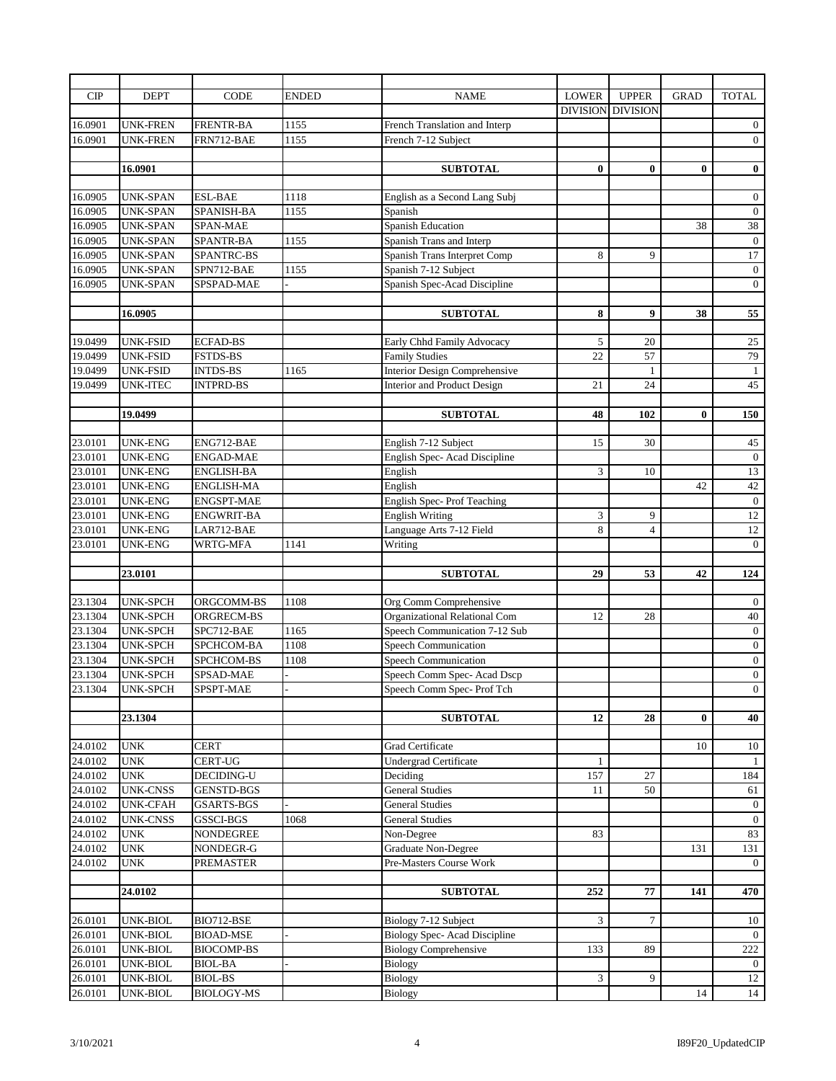| CIP     | <b>DEPT</b>     | <b>CODE</b>       | <b>ENDED</b> | <b>NAME</b>                          | <b>LOWER</b>    | <b>UPPER</b>    | <b>GRAD</b> | <b>TOTAL</b>     |
|---------|-----------------|-------------------|--------------|--------------------------------------|-----------------|-----------------|-------------|------------------|
|         |                 |                   |              |                                      | <b>DIVISION</b> | <b>DIVISION</b> |             |                  |
| 16.0901 | <b>UNK-FREN</b> | <b>FRENTR-BA</b>  | 1155         | French Translation and Interp        |                 |                 |             | $\overline{0}$   |
| 16.0901 | UNK-FREN        | FRN712-BAE        | 1155         | French 7-12 Subject                  |                 |                 |             | $\boldsymbol{0}$ |
|         |                 |                   |              |                                      |                 |                 |             |                  |
|         | 16.0901         |                   |              | <b>SUBTOTAL</b>                      | $\bf{0}$        | $\bf{0}$        | $\bf{0}$    | $\bf{0}$         |
|         |                 |                   |              |                                      |                 |                 |             |                  |
| 16.0905 | <b>UNK-SPAN</b> | <b>ESL-BAE</b>    | 1118         | English as a Second Lang Subj        |                 |                 |             | $\boldsymbol{0}$ |
| 16.0905 | <b>UNK-SPAN</b> | SPANISH-BA        | 1155         | Spanish                              |                 |                 |             | $\mathbf{0}$     |
| 16.0905 | <b>UNK-SPAN</b> | SPAN-MAE          |              | <b>Spanish Education</b>             |                 |                 | 38          | $\overline{38}$  |
| 16.0905 | <b>UNK-SPAN</b> |                   |              |                                      |                 |                 |             |                  |
|         |                 | SPANTR-BA         | 1155         | Spanish Trans and Interp             |                 |                 |             | $\mathbf{0}$     |
| 16.0905 | <b>UNK-SPAN</b> | <b>SPANTRC-BS</b> |              | Spanish Trans Interpret Comp         | 8               | 9               |             | 17               |
| 16.0905 | <b>UNK-SPAN</b> | SPN712-BAE        | 1155         | Spanish 7-12 Subject                 |                 |                 |             | $\boldsymbol{0}$ |
| 16.0905 | UNK-SPAN        | SPSPAD-MAE        |              | Spanish Spec-Acad Discipline         |                 |                 |             | $\mathbf{0}$     |
|         |                 |                   |              |                                      |                 |                 |             |                  |
|         | 16.0905         |                   |              | <b>SUBTOTAL</b>                      | 8               | 9               | 38          | 55               |
|         |                 |                   |              |                                      |                 |                 |             |                  |
| 19.0499 | <b>UNK-FSID</b> | <b>ECFAD-BS</b>   |              | Early Chhd Family Advocacy           | 5               | 20              |             | 25               |
| 19.0499 | <b>UNK-FSID</b> | <b>FSTDS-BS</b>   |              | <b>Family Studies</b>                | 22              | 57              |             | 79               |
| 19.0499 | <b>UNK-FSID</b> | <b>INTDS-BS</b>   | 1165         | <b>Interior Design Comprehensive</b> |                 | $\mathbf{1}$    |             | $\mathbf{1}$     |
| 19.0499 | <b>UNK-ITEC</b> | <b>INTPRD-BS</b>  |              | Interior and Product Design          | 21              | 24              |             | 45               |
|         |                 |                   |              |                                      |                 |                 |             |                  |
|         | 19.0499         |                   |              | <b>SUBTOTAL</b>                      | 48              | 102             | $\bf{0}$    | 150              |
|         |                 |                   |              |                                      |                 |                 |             |                  |
| 23.0101 | <b>UNK-ENG</b>  | ENG712-BAE        |              | English 7-12 Subject                 | 15              | 30              |             | 45               |
| 23.0101 | <b>UNK-ENG</b>  | <b>ENGAD-MAE</b>  |              | English Spec-Acad Discipline         |                 |                 |             | $\mathbf{0}$     |
| 23.0101 | <b>UNK-ENG</b>  | <b>ENGLISH-BA</b> |              | English                              | 3               | 10              |             | 13               |
| 23.0101 | <b>UNK-ENG</b>  | <b>ENGLISH-MA</b> |              | English                              |                 |                 | 42          | 42               |
| 23.0101 | <b>UNK-ENG</b>  | <b>ENGSPT-MAE</b> |              | English Spec-Prof Teaching           |                 |                 |             | $\boldsymbol{0}$ |
| 23.0101 | <b>UNK-ENG</b>  | ENGWRIT-BA        |              | <b>English Writing</b>               | 3               | 9               |             | 12               |
| 23.0101 | UNK-ENG         | LAR712-BAE        |              | Language Arts 7-12 Field             | 8               | $\overline{4}$  |             | 12               |
| 23.0101 | UNK-ENG         | WRTG-MFA          | 1141         | Writing                              |                 |                 |             | $\overline{0}$   |
|         |                 |                   |              |                                      |                 |                 |             |                  |
|         | 23.0101         |                   |              | <b>SUBTOTAL</b>                      | 29              | 53              | 42          | 124              |
|         |                 |                   |              |                                      |                 |                 |             |                  |
| 23.1304 | UNK-SPCH        | ORGCOMM-BS        | 1108         | Org Comm Comprehensive               |                 |                 |             | $\mathbf{0}$     |
| 23.1304 | <b>UNK-SPCH</b> | ORGRECM-BS        |              | Organizational Relational Com        | 12              | 28              |             | 40               |
| 23.1304 | <b>UNK-SPCH</b> | SPC712-BAE        | 1165         | Speech Communication 7-12 Sub        |                 |                 |             | $\boldsymbol{0}$ |
| 23.1304 | UNK-SPCH        | SPCHCOM-BA        | 1108         | Speech Communication                 |                 |                 |             | $\boldsymbol{0}$ |
| 23.1304 | UNK-SPCH        | SPCHCOM-BS        | 1108         | <b>Speech Communication</b>          |                 |                 |             | $\boldsymbol{0}$ |
| 23.1304 | UNK-SPCH        | <b>SPSAD-MAE</b>  |              | Speech Comm Spec-Acad Dscp           |                 |                 |             | $\mathbf{0}$     |
|         |                 |                   |              |                                      |                 |                 |             |                  |
| 23.1304 | UNK-SPCH        | SPSPT-MAE         |              | Speech Comm Spec-Prof Tch            |                 |                 |             | $\mathbf{0}$     |
|         | 23.1304         |                   |              | <b>SUBTOTAL</b>                      |                 |                 |             |                  |
|         |                 |                   |              |                                      | 12              | 28              | $\bf{0}$    | 40               |
|         |                 |                   |              |                                      |                 |                 |             |                  |
| 24.0102 | <b>UNK</b>      | <b>CERT</b>       |              | Grad Certificate                     |                 |                 | 10          | 10               |
| 24.0102 | <b>UNK</b>      | CERT-UG           |              | <b>Undergrad Certificate</b>         | $\mathbf{1}$    |                 |             | -1               |
| 24.0102 | <b>UNK</b>      | DECIDING-U        |              | Deciding                             | 157             | 27              |             | 184              |
| 24.0102 | <b>UNK-CNSS</b> | <b>GENSTD-BGS</b> |              | <b>General Studies</b>               | 11              | 50              |             | 61               |
| 24.0102 | <b>UNK-CFAH</b> | <b>GSARTS-BGS</b> |              | <b>General Studies</b>               |                 |                 |             | $\overline{0}$   |
| 24.0102 | <b>UNK-CNSS</b> | GSSCI-BGS         | 1068         | <b>General Studies</b>               |                 |                 |             | $\overline{0}$   |
| 24.0102 | <b>UNK</b>      | NONDEGREE         |              | Non-Degree                           | 83              |                 |             | 83               |
| 24.0102 | <b>UNK</b>      | NONDEGR-G         |              | Graduate Non-Degree                  |                 |                 | 131         | 131              |
| 24.0102 | <b>UNK</b>      | PREMASTER         |              | Pre-Masters Course Work              |                 |                 |             | $\overline{0}$   |
|         |                 |                   |              |                                      |                 |                 |             |                  |
|         | 24.0102         |                   |              | <b>SUBTOTAL</b>                      | 252             | 77              | 141         | 470              |
|         |                 |                   |              |                                      |                 |                 |             |                  |
| 26.0101 | UNK-BIOL        | BIO712-BSE        |              | Biology 7-12 Subject                 | 3               | $\tau$          |             | 10               |
| 26.0101 | UNK-BIOL        | <b>BIOAD-MSE</b>  |              | Biology Spec-Acad Discipline         |                 |                 |             | $\mathbf{0}$     |
| 26.0101 | UNK-BIOL        | <b>BIOCOMP-BS</b> |              | <b>Biology Comprehensive</b>         | 133             | 89              |             | 222              |
| 26.0101 | UNK-BIOL        | <b>BIOL-BA</b>    |              | Biology                              |                 |                 |             | $\mathbf{0}$     |
| 26.0101 | UNK-BIOL        | <b>BIOL-BS</b>    |              | Biology                              | 3               | 9               |             | 12               |
| 26.0101 | UNK-BIOL        | <b>BIOLOGY-MS</b> |              | <b>Biology</b>                       |                 |                 | 14          | 14               |
|         |                 |                   |              |                                      |                 |                 |             |                  |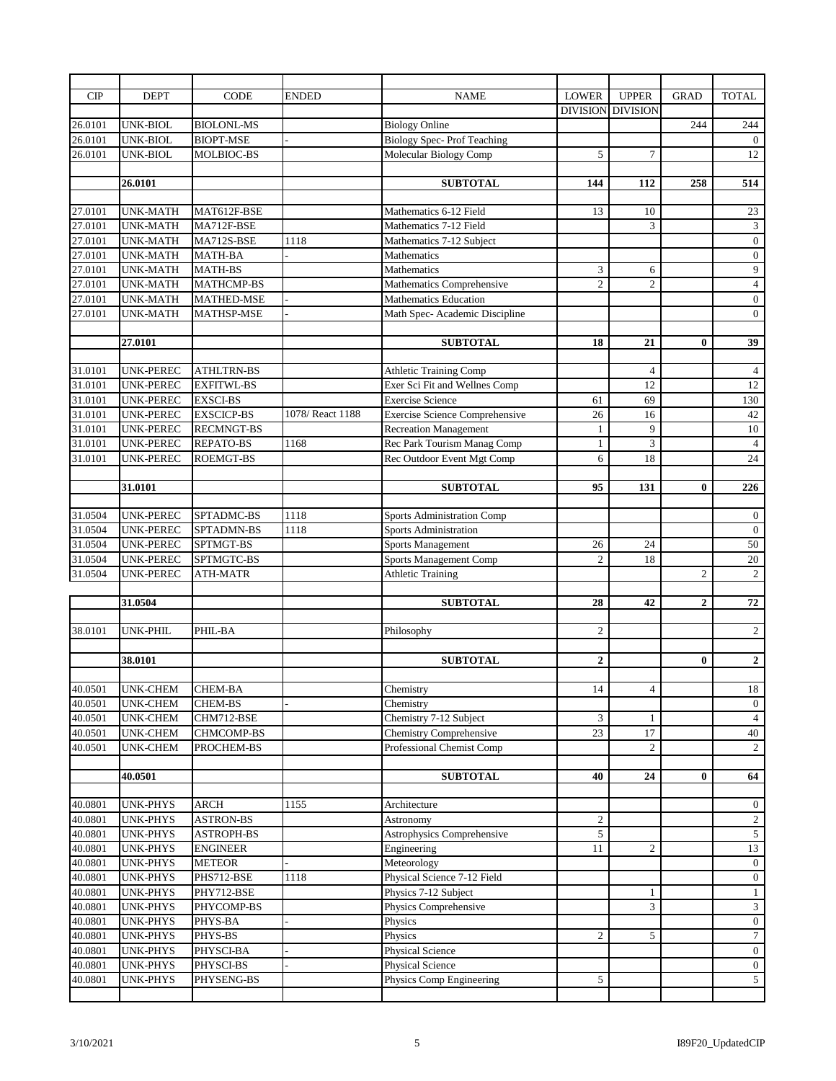| CIP     | <b>DEPT</b>                 | <b>CODE</b>       | <b>ENDED</b>    | <b>NAME</b>                           | <b>LOWER</b>    | <b>UPPER</b>    | <b>GRAD</b>    | <b>TOTAL</b>            |
|---------|-----------------------------|-------------------|-----------------|---------------------------------------|-----------------|-----------------|----------------|-------------------------|
|         |                             |                   |                 |                                       | <b>DIVISION</b> | <b>DIVISION</b> |                |                         |
| 26.0101 | <b>UNK-BIOL</b>             | <b>BIOLONL-MS</b> |                 | <b>Biology Online</b>                 |                 |                 | 244            | 244                     |
| 26.0101 | UNK-BIOL                    | <b>BIOPT-MSE</b>  |                 | <b>Biology Spec-Prof Teaching</b>     |                 |                 |                | $\overline{0}$          |
| 26.0101 | <b>UNK-BIOL</b>             | MOLBIOC-BS        |                 | Molecular Biology Comp                | 5               | $\overline{7}$  |                | 12                      |
|         |                             |                   |                 |                                       |                 |                 |                |                         |
|         | 26.0101                     |                   |                 | <b>SUBTOTAL</b>                       | 144             | 112             | 258            | 514                     |
|         |                             |                   |                 |                                       |                 |                 |                |                         |
| 27.0101 | <b>UNK-MATH</b>             | MAT612F-BSE       |                 | Mathematics 6-12 Field                | 13              | 10              |                | 23                      |
| 27.0101 | <b>UNK-MATH</b>             | MA712F-BSE        |                 | Mathematics 7-12 Field                |                 | 3               |                | $\overline{\mathbf{3}}$ |
| 27.0101 | <b>UNK-MATH</b>             | MA712S-BSE        | 1118            | Mathematics 7-12 Subject              |                 |                 |                | $\mathbf{0}$            |
| 27.0101 | <b>UNK-MATH</b>             | <b>MATH-BA</b>    |                 | Mathematics                           |                 |                 |                | $\boldsymbol{0}$        |
| 27.0101 |                             |                   |                 |                                       |                 |                 |                | $\overline{9}$          |
| 27.0101 | <b>UNK-MATH</b>             | MATH-BS           |                 | Mathematics                           | 3               | 6               |                |                         |
|         | UNK-MATH                    | <b>MATHCMP-BS</b> |                 | Mathematics Comprehensive             | $\overline{c}$  | $\overline{2}$  |                | $\overline{4}$          |
| 27.0101 | UNK-MATH                    | <b>MATHED-MSE</b> |                 | <b>Mathematics Education</b>          |                 |                 |                | $\overline{0}$          |
| 27.0101 | UNK-MATH                    | <b>MATHSP-MSE</b> |                 | Math Spec-Academic Discipline         |                 |                 |                | $\overline{0}$          |
|         |                             |                   |                 |                                       |                 |                 |                |                         |
|         | 27.0101                     |                   |                 | <b>SUBTOTAL</b>                       | 18              | 21              | $\mathbf{0}$   | 39                      |
|         |                             |                   |                 |                                       |                 |                 |                |                         |
| 31.0101 | UNK-PEREC                   | <b>ATHLTRN-BS</b> |                 | Athletic Training Comp                |                 | $\overline{4}$  |                | $\overline{4}$          |
| 31.0101 | UNK-PEREC                   | <b>EXFITWL-BS</b> |                 | Exer Sci Fit and Wellnes Comp         |                 | 12              |                | 12                      |
| 31.0101 | <b>UNK-PEREC</b>            | <b>EXSCI-BS</b>   |                 | <b>Exercise Science</b>               | 61              | 69              |                | 130                     |
| 31.0101 | <b>UNK-PEREC</b>            | <b>EXSCICP-BS</b> | 1078/React 1188 | <b>Exercise Science Comprehensive</b> | 26              | 16              |                | 42                      |
| 31.0101 | <b>UNK-PEREC</b>            | <b>RECMNGT-BS</b> |                 | <b>Recreation Management</b>          | $\mathbf{1}$    | 9               |                | 10                      |
| 31.0101 | <b>UNK-PEREC</b>            | REPATO-BS         | 1168            | Rec Park Tourism Manag Comp           | $\mathbf{1}$    | 3               |                | $\overline{4}$          |
| 31.0101 | UNK-PEREC                   | <b>ROEMGT-BS</b>  |                 | Rec Outdoor Event Mgt Comp            | 6               | 18              |                | 24                      |
|         |                             |                   |                 |                                       |                 |                 |                |                         |
|         | 31.0101                     |                   |                 | <b>SUBTOTAL</b>                       | 95              | 131             | $\bf{0}$       | 226                     |
|         |                             |                   |                 |                                       |                 |                 |                |                         |
| 31.0504 | UNK-PEREC                   | SPTADMC-BS        | 1118            | Sports Administration Comp            |                 |                 |                | $\mathbf{0}$            |
| 31.0504 | UNK-PEREC                   | SPTADMN-BS        | 1118            | <b>Sports Administration</b>          |                 |                 |                | $\boldsymbol{0}$        |
| 31.0504 | UNK-PEREC                   | SPTMGT-BS         |                 | Sports Management                     | 26              | 24              |                | 50                      |
| 31.0504 | UNK-PEREC                   | SPTMGTC-BS        |                 | Sports Management Comp                | $\mathfrak{2}$  | 18              |                | 20                      |
| 31.0504 | UNK-PEREC                   | ATH-MATR          |                 | <b>Athletic Training</b>              |                 |                 | $\overline{c}$ | $\overline{2}$          |
|         |                             |                   |                 |                                       |                 |                 |                |                         |
|         | 31.0504                     |                   |                 | <b>SUBTOTAL</b>                       | 28              | 42              | $\overline{2}$ | 72                      |
|         |                             |                   |                 |                                       |                 |                 |                |                         |
| 38.0101 | UNK-PHIL                    | PHIL-BA           |                 | Philosophy                            | $\overline{c}$  |                 |                | $\overline{2}$          |
|         |                             |                   |                 |                                       |                 |                 |                |                         |
|         | 38.0101                     |                   |                 | <b>SUBTOTAL</b>                       | $\overline{2}$  |                 | $\bf{0}$       | $\overline{2}$          |
|         |                             |                   |                 |                                       |                 |                 |                |                         |
| 40.0501 | UNK-CHEM                    | CHEM-BA           |                 | Chemistry                             | 14              | 4               |                | 18                      |
| 40.0501 | <b>UNK-CHEM</b>             | CHEM-BS           |                 | Chemistry                             |                 |                 |                | $\overline{0}$          |
| 40.0501 | <b>UNK-CHEM</b>             | CHM712-BSE        |                 | Chemistry 7-12 Subject                | 3               | 1               |                | $\overline{4}$          |
| 40.0501 | <b>UNK-CHEM</b>             | CHMCOMP-BS        |                 | <b>Chemistry Comprehensive</b>        | 23              | 17              |                | 40                      |
| 40.0501 | UNK-CHEM                    | PROCHEM-BS        |                 | Professional Chemist Comp             |                 | 2               |                | $\overline{2}$          |
|         |                             |                   |                 |                                       |                 |                 |                |                         |
|         | 40.0501                     |                   |                 | <b>SUBTOTAL</b>                       | 40              | 24              | $\bf{0}$       | 64                      |
|         |                             |                   |                 |                                       |                 |                 |                |                         |
| 40.0801 | UNK-PHYS                    | ARCH              | 1155            | Architecture                          |                 |                 |                | $\overline{0}$          |
| 40.0801 | UNK-PHYS                    | <b>ASTRON-BS</b>  |                 | Astronomy                             | $\overline{c}$  |                 |                | $\overline{2}$          |
| 40.0801 |                             | <b>ASTROPH-BS</b> |                 | <b>Astrophysics Comprehensive</b>     | 5               |                 |                | $\overline{5}$          |
|         | UNK-PHYS<br><b>UNK-PHYS</b> | <b>ENGINEER</b>   |                 |                                       |                 |                 |                |                         |
| 40.0801 |                             |                   |                 | Engineering                           | 11              | $\overline{c}$  |                | 13                      |
| 40.0801 | UNK-PHYS                    | <b>METEOR</b>     |                 | Meteorology                           |                 |                 |                | $\overline{0}$          |
| 40.0801 | UNK-PHYS                    | PHS712-BSE        | 1118            | Physical Science 7-12 Field           |                 |                 |                | $\overline{0}$          |
| 40.0801 | UNK-PHYS                    | PHY712-BSE        |                 | Physics 7-12 Subject                  |                 | 1               |                | $\mathbf{1}$            |
| 40.0801 | <b>UNK-PHYS</b>             | PHYCOMP-BS        |                 | Physics Comprehensive                 |                 | 3               |                | $\mathfrak{Z}$          |
| 40.0801 | UNK-PHYS                    | PHYS-BA           |                 | Physics                               |                 |                 |                | $\overline{0}$          |
| 40.0801 | UNK-PHYS                    | PHYS-BS           |                 | Physics                               | 2               | 5               |                | $\overline{7}$          |
| 40.0801 | UNK-PHYS                    | PHYSCI-BA         |                 | <b>Physical Science</b>               |                 |                 |                | $\overline{0}$          |
| 40.0801 | <b>UNK-PHYS</b>             | PHYSCI-BS         |                 | Physical Science                      |                 |                 |                | $\overline{0}$          |
| 40.0801 | <b>UNK-PHYS</b>             | PHYSENG-BS        |                 | Physics Comp Engineering              | 5               |                 |                | $\overline{5}$          |
|         |                             |                   |                 |                                       |                 |                 |                |                         |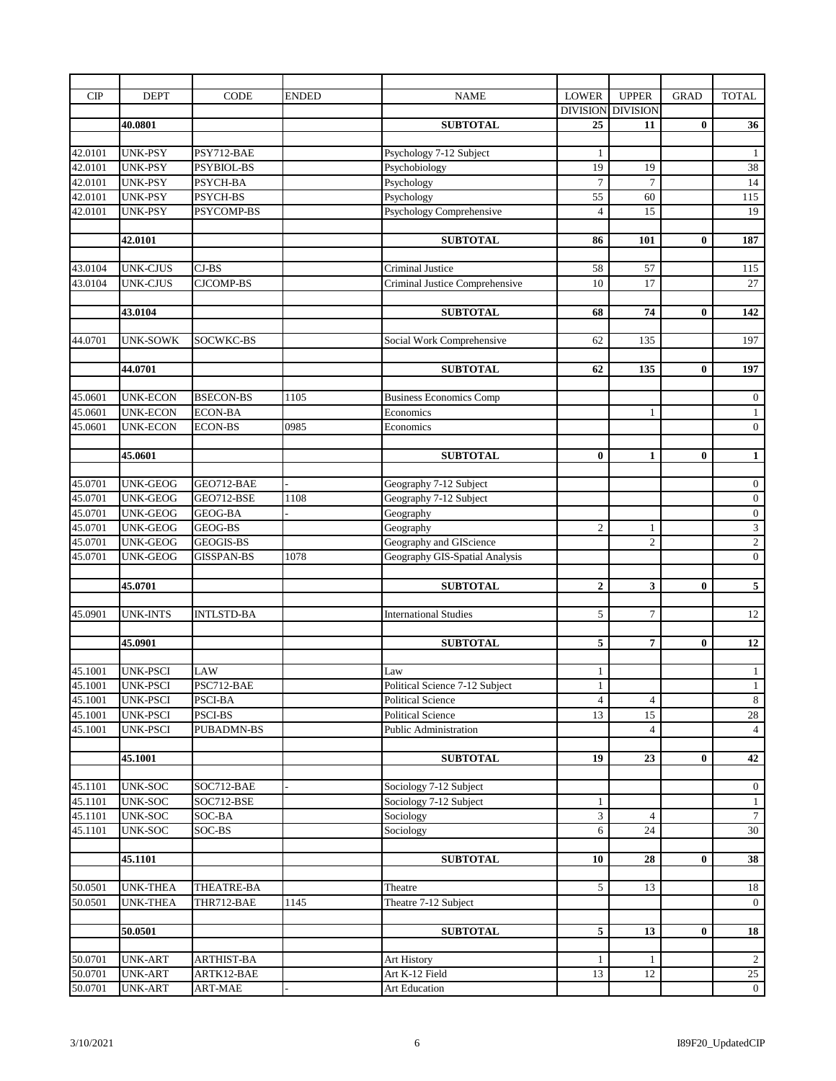| CIP     | <b>DEPT</b>                         | <b>CODE</b>        | ENDED | <b>NAME</b>                                   | <b>LOWER</b>          | <b>UPPER</b>    | <b>GRAD</b> | <b>TOTAL</b>                   |
|---------|-------------------------------------|--------------------|-------|-----------------------------------------------|-----------------------|-----------------|-------------|--------------------------------|
|         |                                     |                    |       |                                               | <b>DIVISION</b>       | <b>DIVISION</b> |             |                                |
|         | 40.0801                             |                    |       | <b>SUBTOTAL</b>                               | 25                    | 11              | $\bf{0}$    | 36                             |
|         |                                     |                    |       |                                               |                       |                 |             |                                |
| 42.0101 | <b>UNK-PSY</b>                      | PSY712-BAE         |       | Psychology 7-12 Subject                       | 1                     |                 |             | $\mathbf{1}$                   |
| 42.0101 | <b>UNK-PSY</b>                      | PSYBIOL-BS         |       | Psychobiology                                 | 19                    | 19              |             | $38\,$                         |
| 42.0101 | <b>UNK-PSY</b>                      | PSYCH-BA           |       | Psychology                                    | $\tau$                | $\tau$          |             | 14                             |
| 42.0101 | <b>UNK-PSY</b>                      | PSYCH-BS           |       | Psychology                                    | 55                    | 60              |             | 115                            |
| 42.0101 | <b>UNK-PSY</b>                      | PSYCOMP-BS         |       | Psychology Comprehensive                      | $\overline{4}$        | 15              |             | 19                             |
|         |                                     |                    |       |                                               |                       |                 |             |                                |
|         | 42.0101                             |                    |       | <b>SUBTOTAL</b>                               | 86                    | 101             | $\bf{0}$    | 187                            |
|         |                                     |                    |       |                                               |                       |                 |             |                                |
| 43.0104 | <b>UNK-CJUS</b>                     | $CJ-BS$            |       | <b>Criminal Justice</b>                       | 58                    | 57              |             | 115                            |
| 43.0104 | <b>UNK-CJUS</b>                     | <b>CJCOMP-BS</b>   |       | Criminal Justice Comprehensive                | 10                    | 17              |             | 27                             |
|         | 43.0104                             |                    |       | <b>SUBTOTAL</b>                               | 68                    | 74              | $\bf{0}$    | $\overline{142}$               |
|         |                                     |                    |       |                                               |                       |                 |             |                                |
| 44.0701 | <b>UNK-SOWK</b>                     | SOCWKC-BS          |       | Social Work Comprehensive                     | 62                    | 135             |             | 197                            |
|         |                                     |                    |       |                                               |                       |                 |             |                                |
|         | 44.0701                             |                    |       | <b>SUBTOTAL</b>                               | 62                    | 135             | $\bf{0}$    | 197                            |
|         |                                     |                    |       |                                               |                       |                 |             |                                |
| 45.0601 | <b>UNK-ECON</b>                     | <b>BSECON-BS</b>   | 1105  | <b>Business Economics Comp</b>                |                       |                 |             | $\boldsymbol{0}$               |
| 45.0601 | <b>UNK-ECON</b>                     | <b>ECON-BA</b>     |       | Economics                                     |                       | $\mathbf{1}$    |             | $\mathbf{1}$                   |
| 45.0601 | <b>UNK-ECON</b>                     | <b>ECON-BS</b>     | 0985  | Economics                                     |                       |                 |             | $\overline{0}$                 |
|         |                                     |                    |       |                                               |                       |                 |             |                                |
|         | 45.0601                             |                    |       | <b>SUBTOTAL</b>                               | $\bf{0}$              | $\mathbf{1}$    | $\bf{0}$    | $\mathbf{1}$                   |
|         |                                     |                    |       |                                               |                       |                 |             |                                |
| 45.0701 | <b>UNK-GEOG</b>                     | GEO712-BAE         |       | Geography 7-12 Subject                        |                       |                 |             | $\boldsymbol{0}$               |
| 45.0701 | <b>UNK-GEOG</b>                     | GEO712-BSE         | 1108  | Geography 7-12 Subject                        |                       |                 |             | $\boldsymbol{0}$               |
| 45.0701 | <b>UNK-GEOG</b>                     | GEOG-BA            |       | Geography                                     |                       |                 |             | $\overline{0}$                 |
| 45.0701 | <b>UNK-GEOG</b>                     | GEOG-BS            |       | Geography                                     | $\overline{c}$        | $\mathbf{1}$    |             | $\overline{3}$                 |
| 45.0701 | <b>UNK-GEOG</b>                     | GEOGIS-BS          |       | Geography and GIScience                       |                       | $\overline{c}$  |             | $\overline{2}$                 |
| 45.0701 | <b>UNK-GEOG</b>                     | <b>GISSPAN-BS</b>  | 1078  | Geography GIS-Spatial Analysis                |                       |                 |             | $\overline{0}$                 |
|         |                                     |                    |       |                                               |                       |                 |             |                                |
|         | 45.0701                             |                    |       | <b>SUBTOTAL</b>                               | $\overline{2}$        | 3               | $\bf{0}$    | $5\overline{ }$                |
|         |                                     |                    |       |                                               |                       |                 |             |                                |
| 45.0901 | <b>UNK-INTS</b>                     | <b>INTLSTD-BA</b>  |       | <b>International Studies</b>                  | 5                     | $\tau$          |             | 12                             |
|         |                                     |                    |       |                                               |                       |                 |             |                                |
|         | 45.0901                             |                    |       | <b>SUBTOTAL</b>                               | 5                     | 7               | $\bf{0}$    | 12                             |
|         |                                     |                    |       |                                               |                       |                 |             |                                |
| 45.1001 | <b>UNK-PSCI</b><br>45.1001 UNK-PSCI | LAW<br>PSC712-BAE  |       | Law<br>Political Science 7-12 Subject         | $\mathbf{1}$<br>$\,1$ |                 |             | $\mathbf{1}$<br>$\overline{1}$ |
| 45.1001 | <b>UNK-PSCI</b>                     |                    |       |                                               | $\overline{4}$        | $\overline{4}$  |             | 8                              |
| 45.1001 | <b>UNK-PSCI</b>                     | PSCI-BA<br>PSCI-BS |       | Political Science<br><b>Political Science</b> | 13                    | 15              |             | 28                             |
| 45.1001 | UNK-PSCI                            | PUBADMN-BS         |       | Public Administration                         |                       | $\overline{4}$  |             | $\overline{4}$                 |
|         |                                     |                    |       |                                               |                       |                 |             |                                |
|         | 45.1001                             |                    |       | <b>SUBTOTAL</b>                               | 19                    | 23              | $\bf{0}$    | 42                             |
|         |                                     |                    |       |                                               |                       |                 |             |                                |
| 45.1101 | UNK-SOC                             | SOC712-BAE         |       | Sociology 7-12 Subject                        |                       |                 |             | $\overline{0}$                 |
| 45.1101 | UNK-SOC                             | SOC712-BSE         |       | Sociology 7-12 Subject                        | $\mathbf{1}$          |                 |             | $\mathbf{1}$                   |
| 45.1101 | <b>UNK-SOC</b>                      | SOC-BA             |       | Sociology                                     | 3                     | $\overline{4}$  |             | $7\phantom{.0}$                |
| 45.1101 | UNK-SOC                             | SOC-BS             |       | Sociology                                     | 6                     | 24              |             | 30                             |
|         |                                     |                    |       |                                               |                       |                 |             |                                |
|         | 45.1101                             |                    |       | <b>SUBTOTAL</b>                               | 10                    | 28              | $\bf{0}$    | 38                             |
|         |                                     |                    |       |                                               |                       |                 |             |                                |
| 50.0501 | <b>UNK-THEA</b>                     | THEATRE-BA         |       | Theatre                                       | 5                     | 13              |             | 18                             |
| 50.0501 | <b>UNK-THEA</b>                     | THR712-BAE         | 1145  | Theatre 7-12 Subject                          |                       |                 |             | $\overline{0}$                 |
|         |                                     |                    |       |                                               |                       |                 |             |                                |
|         | 50.0501                             |                    |       | <b>SUBTOTAL</b>                               | 5                     | 13              | $\bf{0}$    | <b>18</b>                      |
|         |                                     |                    |       |                                               |                       |                 |             |                                |
| 50.0701 | UNK-ART                             | ARTHIST-BA         |       | Art History                                   | 1                     | 1               |             | $\overline{2}$                 |
| 50.0701 | <b>UNK-ART</b>                      | ARTK12-BAE         |       | Art K-12 Field                                | 13                    | 12              |             | 25                             |
| 50.0701 | UNK-ART                             | ART-MAE            |       | Art Education                                 |                       |                 |             | $\overline{0}$                 |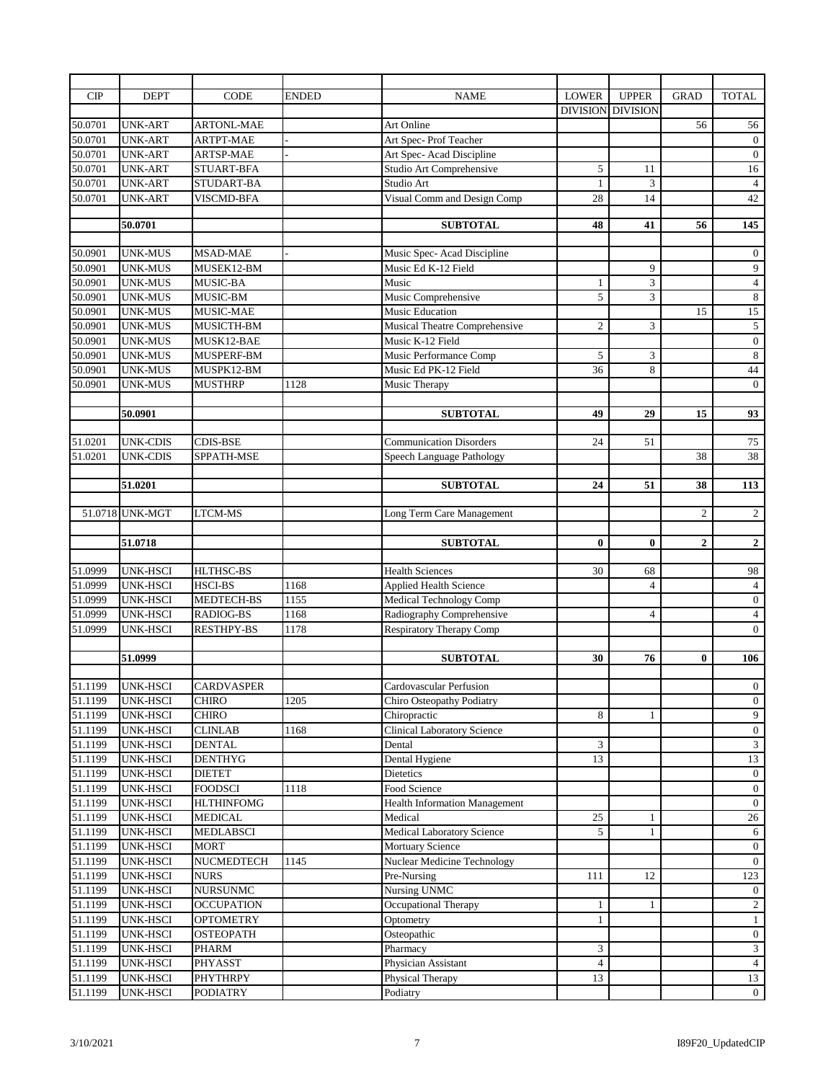| CIP     | <b>DEPT</b>      | CODE              | <b>ENDED</b> | <b>NAME</b>                          | <b>LOWER</b>             | <b>UPPER</b>   | <b>GRAD</b>      | <b>TOTAL</b>     |
|---------|------------------|-------------------|--------------|--------------------------------------|--------------------------|----------------|------------------|------------------|
|         |                  |                   |              |                                      | <b>DIVISION DIVISION</b> |                |                  |                  |
| 50.0701 | <b>UNK-ART</b>   | <b>ARTONL-MAE</b> |              | <b>Art Online</b>                    |                          |                | 56               | 56               |
| 50.0701 | <b>UNK-ART</b>   | ARTPT-MAE         |              | Art Spec-Prof Teacher                |                          |                |                  | $\boldsymbol{0}$ |
| 50.0701 | <b>UNK-ART</b>   | <b>ARTSP-MAE</b>  |              | Art Spec-Acad Discipline             |                          |                |                  | $\mathbf{0}$     |
| 50.0701 | <b>UNK-ART</b>   | STUART-BFA        |              | Studio Art Comprehensive             | 5                        | 11             |                  | 16               |
| 50.0701 | <b>UNK-ART</b>   | STUDART-BA        |              | Studio Art                           | $\mathbf{1}$             | 3              |                  | $\overline{4}$   |
| 50.0701 | <b>UNK-ART</b>   | VISCMD-BFA        |              | Visual Comm and Design Comp          | 28                       | 14             |                  | 42               |
|         |                  |                   |              |                                      |                          |                |                  |                  |
|         | 50.0701          |                   |              | <b>SUBTOTAL</b>                      | 48                       | 41             | 56               | 145              |
|         |                  |                   |              |                                      |                          |                |                  |                  |
| 50.0901 | <b>UNK-MUS</b>   | MSAD-MAE          |              | Music Spec-Acad Discipline           |                          |                |                  | $\mathbf{0}$     |
| 50.0901 | <b>UNK-MUS</b>   | MUSEK12-BM        |              | Music Ed K-12 Field                  |                          | 9              |                  | $\overline{9}$   |
| 50.0901 | <b>UNK-MUS</b>   | MUSIC-BA          |              | Music                                | $\mathbf{1}$             | 3              |                  | $\overline{4}$   |
| 50.0901 | <b>UNK-MUS</b>   | MUSIC-BM          |              | Music Comprehensive                  | 5                        | 3              |                  | $\sqrt{8}$       |
| 50.0901 | <b>UNK-MUS</b>   | MUSIC-MAE         |              | <b>Music Education</b>               |                          |                | 15               | 15               |
| 50.0901 | <b>UNK-MUS</b>   | MUSICTH-BM        |              | <b>Musical Theatre Comprehensive</b> | $\overline{2}$           | 3              |                  | $\overline{5}$   |
| 50.0901 | <b>UNK-MUS</b>   | MUSK12-BAE        |              | Music K-12 Field                     |                          |                |                  | $\boldsymbol{0}$ |
| 50.0901 | <b>UNK-MUS</b>   | MUSPERF-BM        |              | Music Performance Comp               | 5                        | 3              |                  | $\bf 8$          |
| 50.0901 | <b>UNK-MUS</b>   | MUSPK12-BM        |              | Music Ed PK-12 Field                 | 36                       | 8              |                  | 44               |
| 50.0901 | <b>UNK-MUS</b>   | <b>MUSTHRP</b>    | 1128         | Music Therapy                        |                          |                |                  | $\boldsymbol{0}$ |
|         |                  |                   |              |                                      |                          |                |                  |                  |
|         | 50.0901          |                   |              | <b>SUBTOTAL</b>                      | 49                       | 29             | 15               | 93               |
|         |                  |                   |              |                                      |                          |                |                  |                  |
| 51.0201 | <b>UNK-CDIS</b>  | <b>CDIS-BSE</b>   |              | <b>Communication Disorders</b>       | 24                       | 51             |                  | 75               |
| 51.0201 | <b>UNK-CDIS</b>  | SPPATH-MSE        |              | Speech Language Pathology            |                          |                | 38               | 38               |
|         |                  |                   |              |                                      |                          |                |                  |                  |
|         | 51.0201          |                   |              | <b>SUBTOTAL</b>                      | 24                       | 51             | 38               | 113              |
|         |                  |                   |              |                                      |                          |                |                  |                  |
|         | 51.0718 UNK-MGT  | LTCM-MS           |              | Long Term Care Management            |                          |                | $\overline{c}$   | $\overline{2}$   |
|         |                  |                   |              |                                      |                          |                |                  |                  |
|         | 51.0718          |                   |              | <b>SUBTOTAL</b>                      | $\bf{0}$                 | $\bf{0}$       | $\boldsymbol{2}$ | $\overline{2}$   |
| 51.0999 | <b>UNK-HSCI</b>  | HLTHSC-BS         |              | <b>Health Sciences</b>               | 30                       | 68             |                  | $98$             |
| 51.0999 | <b>UNK-HSCI</b>  | <b>HSCI-BS</b>    | 1168         | <b>Applied Health Science</b>        |                          | $\overline{4}$ |                  | $\overline{4}$   |
| 51.0999 | <b>UNK-HSCI</b>  | <b>MEDTECH-BS</b> | 1155         | <b>Medical Technology Comp</b>       |                          |                |                  | $\boldsymbol{0}$ |
| 51.0999 | <b>UNK-HSCI</b>  | RADIOG-BS         | 1168         | Radiography Comprehensive            |                          | $\overline{4}$ |                  | $\overline{4}$   |
| 51.0999 | <b>UNK-HSCI</b>  | <b>RESTHPY-BS</b> | 1178         | <b>Respiratory Therapy Comp</b>      |                          |                |                  | $\overline{0}$   |
|         |                  |                   |              |                                      |                          |                |                  |                  |
|         | 51.0999          |                   |              | <b>SUBTOTAL</b>                      | 30                       | 76             | $\bf{0}$         | 106              |
|         |                  |                   |              |                                      |                          |                |                  |                  |
|         | 51.1199 UNK-HSCI | <b>CARDVASPER</b> |              | Cardovascular Perfusion              |                          |                |                  | $\overline{0}$   |
| 51.1199 | <b>UNK-HSCI</b>  | <b>CHIRO</b>      | 1205         | Chiro Osteopathy Podiatry            |                          |                |                  | $\boldsymbol{0}$ |
| 51.1199 | <b>UNK-HSCI</b>  | <b>CHIRO</b>      |              | Chiropractic                         | 8                        | 1              |                  | 9                |
| 51.1199 | UNK-HSCI         | <b>CLINLAB</b>    | 1168         | Clinical Laboratory Science          |                          |                |                  | $\boldsymbol{0}$ |
| 51.1199 | UNK-HSCI         | <b>DENTAL</b>     |              | Dental                               | 3                        |                |                  | $\mathfrak{Z}$   |
| 51.1199 | <b>UNK-HSCI</b>  | <b>DENTHYG</b>    |              | Dental Hygiene                       | 13                       |                |                  | 13               |
| 51.1199 | <b>UNK-HSCI</b>  | <b>DIETET</b>     |              | <b>Dietetics</b>                     |                          |                |                  | $\overline{0}$   |
| 51.1199 | <b>UNK-HSCI</b>  | FOODSCI           | 1118         | Food Science                         |                          |                |                  | $\mathbf{0}$     |
| 51.1199 | <b>UNK-HSCI</b>  | <b>HLTHINFOMG</b> |              | Health Information Management        |                          |                |                  | $\overline{0}$   |
| 51.1199 | <b>UNK-HSCI</b>  | <b>MEDICAL</b>    |              | Medical                              | 25                       | 1              |                  | 26               |
| 51.1199 | UNK-HSCI         | <b>MEDLABSCI</b>  |              | Medical Laboratory Science           | 5                        | $\mathbf{1}$   |                  | 6                |
| 51.1199 | <b>UNK-HSCI</b>  | MORT              |              | <b>Mortuary Science</b>              |                          |                |                  | $\overline{0}$   |
| 51.1199 | <b>UNK-HSCI</b>  | NUCMEDTECH        | 1145         | Nuclear Medicine Technology          |                          |                |                  | $\overline{0}$   |
| 51.1199 | UNK-HSCI         | <b>NURS</b>       |              | Pre-Nursing                          | 111                      | 12             |                  | 123              |
| 51.1199 | <b>UNK-HSCI</b>  | <b>NURSUNMC</b>   |              | Nursing UNMC                         |                          |                |                  | $\overline{0}$   |
| 51.1199 | <b>UNK-HSCI</b>  | <b>OCCUPATION</b> |              | Occupational Therapy                 | 1                        | 1              |                  | $\overline{2}$   |
| 51.1199 | <b>UNK-HSCI</b>  | <b>OPTOMETRY</b>  |              | Optometry                            | $\mathbf{1}$             |                |                  | $\mathbf{1}$     |
| 51.1199 | <b>UNK-HSCI</b>  | <b>OSTEOPATH</b>  |              | Osteopathic                          |                          |                |                  | $\overline{0}$   |
| 51.1199 | <b>UNK-HSCI</b>  | PHARM             |              | Pharmacy                             | 3                        |                |                  | $\mathfrak{Z}$   |
| 51.1199 | UNK-HSCI         | PHYASST           |              | Physician Assistant                  | $\overline{4}$           |                |                  | $\overline{4}$   |
| 51.1199 | UNK-HSCI         | PHYTHRPY          |              | Physical Therapy                     | 13                       |                |                  | 13               |
| 51.1199 | UNK-HSCI         | PODIATRY          |              | Podiatry                             |                          |                |                  | $\overline{0}$   |
|         |                  |                   |              |                                      |                          |                |                  |                  |